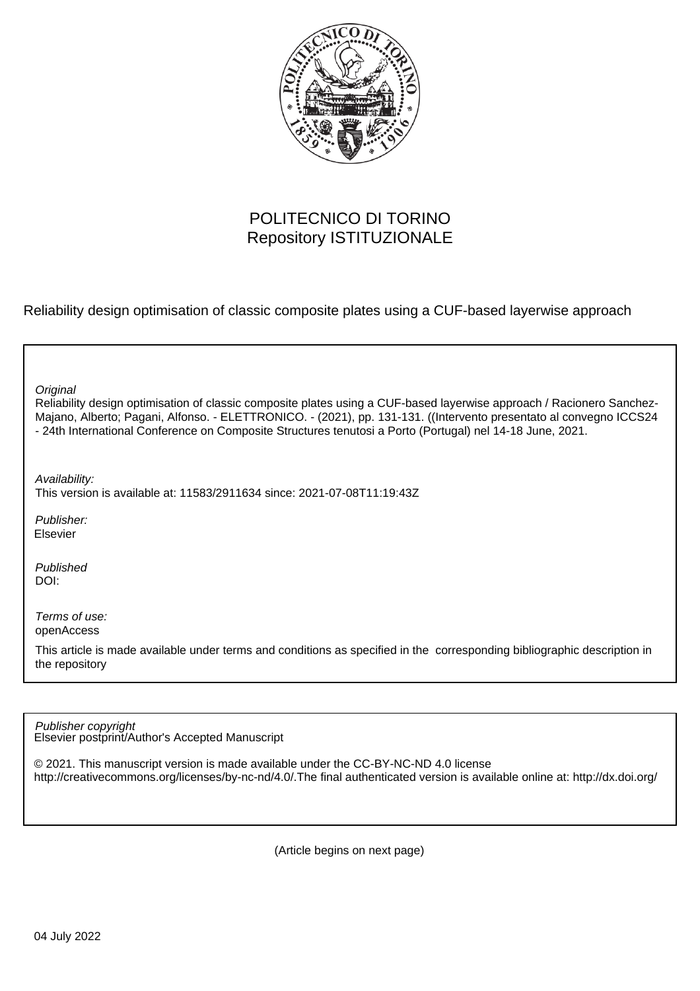

## POLITECNICO DI TORINO Repository ISTITUZIONALE

Reliability design optimisation of classic composite plates using a CUF-based layerwise approach

| Original<br>Reliability design optimisation of classic composite plates using a CUF-based layerwise approach / Racionero Sanchez-<br>Majano, Alberto; Pagani, Alfonso. - ELETTRONICO. - (2021), pp. 131-131. ((Intervento presentato al convegno ICCS24<br>- 24th International Conference on Composite Structures tenutosi a Porto (Portugal) nel 14-18 June, 2021. |
|----------------------------------------------------------------------------------------------------------------------------------------------------------------------------------------------------------------------------------------------------------------------------------------------------------------------------------------------------------------------|
| Availability:<br>This version is available at: 11583/2911634 since: 2021-07-08T11:19:43Z                                                                                                                                                                                                                                                                             |
| Publisher:<br>Elsevier                                                                                                                                                                                                                                                                                                                                               |
| Published<br>DOI:                                                                                                                                                                                                                                                                                                                                                    |
| Terms of use:<br>openAccess                                                                                                                                                                                                                                                                                                                                          |
| This article is made available under terms and conditions as specified in the corresponding bibliographic description in<br>the repository                                                                                                                                                                                                                           |
|                                                                                                                                                                                                                                                                                                                                                                      |

Elsevier postprint/Author's Accepted Manuscript Publisher copyright

© 2021. This manuscript version is made available under the CC-BY-NC-ND 4.0 license http://creativecommons.org/licenses/by-nc-nd/4.0/.The final authenticated version is available online at: http://dx.doi.org/

(Article begins on next page)